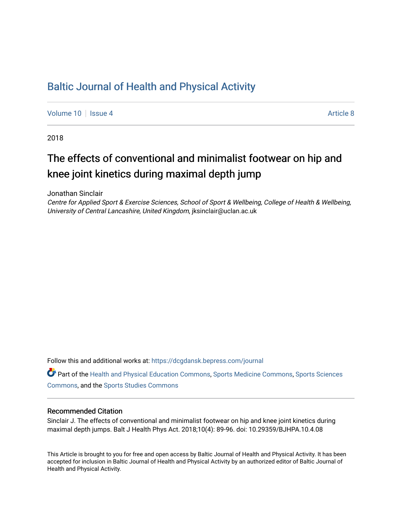# [Baltic Journal of Health and Physical Activity](https://dcgdansk.bepress.com/journal)

[Volume 10](https://dcgdansk.bepress.com/journal/vol10) | [Issue 4](https://dcgdansk.bepress.com/journal/vol10/iss4) Article 8

2018

# The effects of conventional and minimalist footwear on hip and knee joint kinetics during maximal depth jump

Jonathan Sinclair

Centre for Applied Sport & Exercise Sciences, School of Sport & Wellbeing, College of Health & Wellbeing, University of Central Lancashire, United Kingdom, jksinclair@uclan.ac.uk

Follow this and additional works at: [https://dcgdansk.bepress.com/journal](https://dcgdansk.bepress.com/journal?utm_source=dcgdansk.bepress.com%2Fjournal%2Fvol10%2Fiss4%2F8&utm_medium=PDF&utm_campaign=PDFCoverPages)

Part of the [Health and Physical Education Commons](http://network.bepress.com/hgg/discipline/1327?utm_source=dcgdansk.bepress.com%2Fjournal%2Fvol10%2Fiss4%2F8&utm_medium=PDF&utm_campaign=PDFCoverPages), [Sports Medicine Commons,](http://network.bepress.com/hgg/discipline/1331?utm_source=dcgdansk.bepress.com%2Fjournal%2Fvol10%2Fiss4%2F8&utm_medium=PDF&utm_campaign=PDFCoverPages) [Sports Sciences](http://network.bepress.com/hgg/discipline/759?utm_source=dcgdansk.bepress.com%2Fjournal%2Fvol10%2Fiss4%2F8&utm_medium=PDF&utm_campaign=PDFCoverPages) [Commons](http://network.bepress.com/hgg/discipline/759?utm_source=dcgdansk.bepress.com%2Fjournal%2Fvol10%2Fiss4%2F8&utm_medium=PDF&utm_campaign=PDFCoverPages), and the [Sports Studies Commons](http://network.bepress.com/hgg/discipline/1198?utm_source=dcgdansk.bepress.com%2Fjournal%2Fvol10%2Fiss4%2F8&utm_medium=PDF&utm_campaign=PDFCoverPages) 

#### Recommended Citation

Sinclair J. The effects of conventional and minimalist footwear on hip and knee joint kinetics during maximal depth jumps. Balt J Health Phys Act. 2018;10(4): 89-96. doi: 10.29359/BJHPA.10.4.08

This Article is brought to you for free and open access by Baltic Journal of Health and Physical Activity. It has been accepted for inclusion in Baltic Journal of Health and Physical Activity by an authorized editor of Baltic Journal of Health and Physical Activity.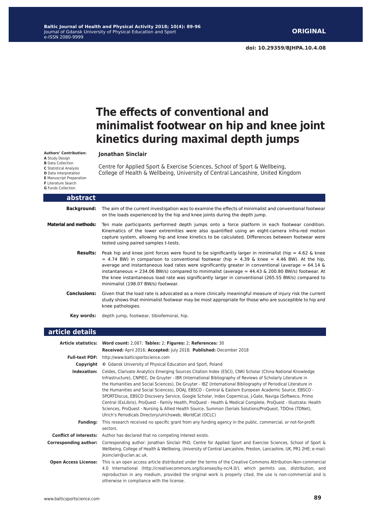# **The effects of conventional and minimalist footwear on hip and knee joint kinetics during maximal depth jumps**

#### **Jonathan Sinclair**

**A** Study Design **B** Data Collection **C** Statistical Analysis **D** Data Interpretation **E** Manuscript Preparation **F** Literature Search

**Authors' Contribution:**

**G** Funds Collection

Centre for Applied Sport & Exercise Sciences, School of Sport & Wellbeing, College of Health & Wellbeing, University of Central Lancashire, United Kingdom

| abstract                     |                                                                                                                                                                                                                                                                                                                                                                                                                                                                                                                                                                                    |
|------------------------------|------------------------------------------------------------------------------------------------------------------------------------------------------------------------------------------------------------------------------------------------------------------------------------------------------------------------------------------------------------------------------------------------------------------------------------------------------------------------------------------------------------------------------------------------------------------------------------|
|                              | <b>Background:</b> The aim of the current investigation was to examine the effects of minimalist and conventional footwear<br>on the loads experienced by the hip and knee joints during the depth jump.                                                                                                                                                                                                                                                                                                                                                                           |
| <b>Material and methods:</b> | Ten male participants performed depth jumps onto a force platform in each footwear condition.<br>Kinematics of the lower extremities were also quantified using an eight-camera infra-red motion<br>capture system, allowing hip and knee kinetics to be calculated. Differences between footwear were<br>tested using paired samples t-tests.                                                                                                                                                                                                                                     |
| Results:                     | Peak hip and knee joint forces were found to be significantly larger in minimalist (hip = $4.62 \&$ knee<br>$=$ 4.74 BW) in comparison to conventional footwear (hip = 4.39 & knee = 4.46 BW). At the hip,<br>average and instantaneous load rates were significantly greater in conventional (average = $64.14 \text{ }\&$<br>instantaneous = $234.06$ BW/s) compared to minimalist (average = $44.43$ & $200.80$ BW/s) footwear. At<br>the knee instantaneous load rate was significantly larger in conventional (265.55 BW/s) compared to<br>minimalist (198.07 BW/s) footwear. |
| <b>Conclusions:</b>          | Given that the load rate is advocated as a more clinically meaningful measure of injury risk the current<br>study shows that minimalist footwear may be most appropriate for those who are susceptible to hip and<br>knee pathologies.                                                                                                                                                                                                                                                                                                                                             |
|                              | <b>Key words:</b> depth jump, footwear, tibiofemoral, hip.                                                                                                                                                                                                                                                                                                                                                                                                                                                                                                                         |

#### **article details**

|                               | Article statistics: Word count: 2,087; Tables: 2; Figures: 2; References: 30                                                                                                                                                                                                                                                                                                                                                                                                                                                                                                                                                                                                                                                                                                                                                                                  |  |  |  |
|-------------------------------|---------------------------------------------------------------------------------------------------------------------------------------------------------------------------------------------------------------------------------------------------------------------------------------------------------------------------------------------------------------------------------------------------------------------------------------------------------------------------------------------------------------------------------------------------------------------------------------------------------------------------------------------------------------------------------------------------------------------------------------------------------------------------------------------------------------------------------------------------------------|--|--|--|
|                               | Received: April 2016; Accepted: July 2018; Published: December 2018                                                                                                                                                                                                                                                                                                                                                                                                                                                                                                                                                                                                                                                                                                                                                                                           |  |  |  |
|                               | Full-text PDF: http://www.balticsportscience.com                                                                                                                                                                                                                                                                                                                                                                                                                                                                                                                                                                                                                                                                                                                                                                                                              |  |  |  |
| Copyright                     | © Gdansk University of Physical Education and Sport, Poland                                                                                                                                                                                                                                                                                                                                                                                                                                                                                                                                                                                                                                                                                                                                                                                                   |  |  |  |
| Indexation:                   | Celdes, Clarivate Analytics Emerging Sources Citation Index (ESCI), CNKI Scholar (China National Knowledge<br>Infrastructure), CNPIEC, De Gruyter - IBR (International Bibliography of Reviews of Scholarly Literature in<br>the Humanities and Social Sciences), De Gruyter - IBZ (International Bibliography of Periodical Literature in<br>the Humanities and Social Sciences), DOAJ, EBSCO - Central & Eastern European Academic Source, EBSCO -<br>SPORTDiscus, EBSCO Discovery Service, Google Scholar, Index Copernicus, J-Gate, Naviga (Softweco, Primo<br>Central (ExLibris), ProQuest - Family Health, ProQuest - Health & Medical Complete, ProQuest - Illustrata: Health<br>Sciences, ProQuest - Nursing & Allied Health Source, Summon (Serials Solutions/ProQuest, TDOne (TDNet),<br>Ulrich's Periodicals Directory/ulrichsweb, WorldCat (OCLC) |  |  |  |
| <b>Fundina:</b>               | This research received no specific grant from any funding agency in the public, commercial, or not-for-profit<br>sectors.                                                                                                                                                                                                                                                                                                                                                                                                                                                                                                                                                                                                                                                                                                                                     |  |  |  |
| <b>Conflict of interests:</b> | Author has declared that no competing interest exists.                                                                                                                                                                                                                                                                                                                                                                                                                                                                                                                                                                                                                                                                                                                                                                                                        |  |  |  |
| <b>Corresponding author:</b>  | Corresponding author: Jonathan Sinclair PhD, Centre for Applied Sport and Exercise Sciences, School of Sport &<br>Wellbeing, College of Health & Wellbeing, University of Central Lancashire, Preston, Lancashire, UK, PR1 2HE; e-mail:<br>jksinclair@uclan.ac.uk.                                                                                                                                                                                                                                                                                                                                                                                                                                                                                                                                                                                            |  |  |  |
| <b>Open Access License:</b>   | This is an open access article distributed under the terms of the Creative Commons Attribution-Non-commercial<br>4.0 International (http://creativecommons.org/licenses/by-nc/4.0/), which permits use, distribution, and<br>reproduction in any medium, provided the original work is properly cited, the use is non-commercial and is<br>otherwise in compliance with the license.                                                                                                                                                                                                                                                                                                                                                                                                                                                                          |  |  |  |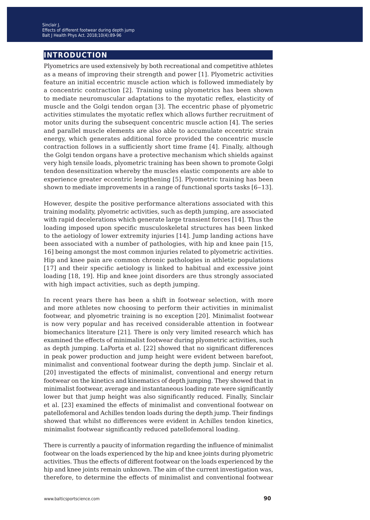## **introduction**

Plyometrics are used extensively by both recreational and competitive athletes as a means of improving their strength and power [1]. Plyometric activities feature an initial eccentric muscle action which is followed immediately by a concentric contraction [2]. Training using plyometrics has been shown to mediate neuromuscular adaptations to the myotatic reflex, elasticity of muscle and the Golgi tendon organ [3]. The eccentric phase of plyometric activities stimulates the myotatic reflex which allows further recruitment of motor units during the subsequent concentric muscle action [4]. The series and parallel muscle elements are also able to accumulate eccentric strain energy, which generates additional force provided the concentric muscle contraction follows in a sufficiently short time frame [4]. Finally, although the Golgi tendon organs have a protective mechanism which shields against very high tensile loads, plyometric training has been shown to promote Golgi tendon desensitization whereby the muscles elastic components are able to experience greater eccentric lengthening [5]. Plyometric training has been shown to mediate improvements in a range of functional sports tasks  $[6-13]$ .

However, despite the positive performance alterations associated with this training modality, plyometric activities, such as depth jumping, are associated with rapid decelerations which generate large transient forces [14]. Thus the loading imposed upon specific musculoskeletal structures has been linked to the aetiology of lower extremity injuries [14]. Jump landing actions have been associated with a number of pathologies, with hip and knee pain [15, 16] being amongst the most common injuries related to plyometric activities. Hip and knee pain are common chronic pathologies in athletic populations [17] and their specific aetiology is linked to habitual and excessive joint loading [18, 19]. Hip and knee joint disorders are thus strongly associated with high impact activities, such as depth jumping.

In recent years there has been a shift in footwear selection, with more and more athletes now choosing to perform their activities in minimalist footwear, and plyometric training is no exception [20]. Minimalist footwear is now very popular and has received considerable attention in footwear biomechanics literature [21]. There is only very limited research which has examined the effects of minimalist footwear during plyometric activities, such as depth jumping. LaPorta et al. [22] showed that no significant differences in peak power production and jump height were evident between barefoot, minimalist and conventional footwear during the depth jump. Sinclair et al. [20] investigated the effects of minimalist, conventional and energy return footwear on the kinetics and kinematics of depth jumping. They showed that in minimalist footwear, average and instantaneous loading rate were significantly lower but that jump height was also significantly reduced. Finally, Sinclair et al. [23] examined the effects of minimalist and conventional footwear on patellofemoral and Achilles tendon loads during the depth jump. Their findings showed that whilst no differences were evident in Achilles tendon kinetics, minimalist footwear significantly reduced patellofemoral loading.

There is currently a paucity of information regarding the influence of minimalist footwear on the loads experienced by the hip and knee joints during plyometric activities. Thus the effects of different footwear on the loads experienced by the hip and knee joints remain unknown. The aim of the current investigation was, therefore, to determine the effects of minimalist and conventional footwear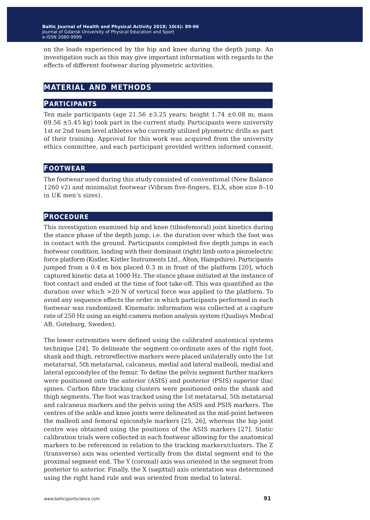on the loads experienced by the hip and knee during the depth jump. An investigation such as this may give important information with regards to the effects of different footwear during plyometric activities.

## **material and methods**

#### **participants**

Ten male participants (age  $21.56 \pm 3.25$  years; height  $1.74 \pm 0.08$  m; mass  $69.56 \pm 5.45$  kg) took part in the current study. Participants were university 1st or 2nd team level athletes who currently utilized plyometric drills as part of their training. Approval for this work was acquired from the university ethics committee, and each participant provided written informed consent.

#### **footwear**

The footwear used during this study consisted of conventional (New Balance 1260 v2) and minimalist footwear (Vibram five-fingers, ELX, shoe size 8–10 in UK men's sizes).

#### **procedure**

This investigation examined hip and knee (tibiofemoral) joint kinetics during the stance phase of the depth jump, i.e. the duration over which the foot was in contact with the ground. Participants completed five depth jumps in each footwear condition, landing with their dominant (right) limb onto a piezoelectric force platform (Kistler, Kistler Instruments Ltd., Alton, Hampshire). Participants jumped from a 0.4 m box placed 0.3 m in front of the platform [20], which captured kinetic data at 1000 Hz. The stance phase initiated at the instance of foot contact and ended at the time of foot take-off. This was quantified as the duration over which >20 N of vertical force was applied to the platform. To avoid any sequence effects the order in which participants performed in each footwear was randomized. Kinematic information was collected at a capture rate of 250 Hz using an eight-camera motion analysis system (Qualisys Medical AB, Goteburg, Sweden).

The lower extremities were defined using the calibrated anatomical systems technique [24]. To delineate the segment co-ordinate axes of the right foot, shank and thigh, retroreflective markers were placed unilaterally onto the 1st metatarsal, 5th metatarsal, calcaneus, medial and lateral malleoli, medial and lateral epicondyles of the femur. To define the pelvis segment further markers were positioned onto the anterior (ASIS) and posterior (PSIS) superior iliac spines. Carbon fibre tracking clusters were positioned onto the shank and thigh segments. The foot was tracked using the 1st metatarsal, 5th metatarsal and calcaneus markers and the pelvis using the ASIS and PSIS markers. The centres of the ankle and knee joints were delineated as the mid-point between the malleoli and femoral epicondyle markers [25, 26], whereas the hip joint centre was obtained using the positions of the ASIS markers [27]. Static calibration trials were collected in each footwear allowing for the anatomical markers to be referenced in relation to the tracking markers/clusters. The Z (transverse) axis was oriented vertically from the distal segment end to the proximal segment end. The Y (coronal) axis was oriented in the segment from posterior to anterior. Finally, the X (sagittal) axis orientation was determined using the right hand rule and was oriented from medial to lateral.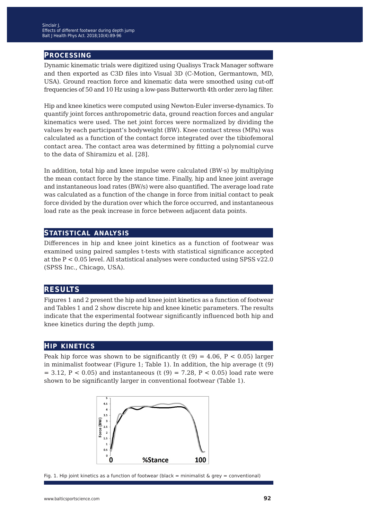#### **processing**

Dynamic kinematic trials were digitized using Qualisys Track Manager software and then exported as C3D files into Visual 3D (C-Motion, Germantown, MD, USA). Ground reaction force and kinematic data were smoothed using cut-off frequencies of 50 and 10 Hz using a low-pass Butterworth 4th order zero lag filter.

Hip and knee kinetics were computed using Newton-Euler inverse-dynamics. To quantify joint forces anthropometric data, ground reaction forces and angular kinematics were used. The net joint forces were normalized by dividing the values by each participant's bodyweight (BW). Knee contact stress (MPa) was calculated as a function of the contact force integrated over the tibiofemoral contact area. The contact area was determined by fitting a polynomial curve to the data of Shiramizu et al. [28].

In addition, total hip and knee impulse were calculated (BW·s) by multiplying the mean contact force by the stance time. Finally, hip and knee joint average and instantaneous load rates (BW/s) were also quantified. The average load rate was calculated as a function of the change in force from initial contact to peak force divided by the duration over which the force occurred, and instantaneous load rate as the peak increase in force between adjacent data points.

#### **statistical analysis**

Differences in hip and knee joint kinetics as a function of footwear was examined using paired samples t-tests with statistical significance accepted at the P < 0.05 level. All statistical analyses were conducted using SPSS v22.0 (SPSS Inc., Chicago, USA).

#### **results**

Figures 1 and 2 present the hip and knee joint kinetics as a function of footwear and Tables 1 and 2 show discrete hip and knee kinetic parameters. The results indicate that the experimental footwear significantly influenced both hip and knee kinetics during the depth jump.

#### **hip kinetics**

Peak hip force was shown to be significantly (t  $(9) = 4.06$ , P < 0.05) larger in minimalist footwear (Figure 1; Table 1). In addition, the hip average (t (9)  $= 3.12, P < 0.05$  and instantaneous (t (9) = 7.28, P < 0.05) load rate were shown to be significantly larger in conventional footwear (Table 1).



Fig. 1. Hip joint kinetics as a function of footwear (black = minimalist  $\&$  grey = conventional)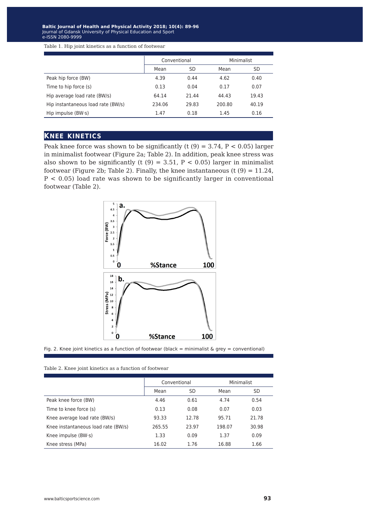Baltic Journal of Health and Physical Activity 2018; 10(4): 89-96 Journal of Gdansk University of Physical Education and Sport e-ISSN 2080-9999 Journal of Gdansk University of Physical Education and Sport e-ISSN 2080-9999

Table 1. Hip joint kinetics as a function of footwear

|                                    | Conventional |       | Minimalist |       |
|------------------------------------|--------------|-------|------------|-------|
|                                    | Mean         | SD    | Mean       | SD    |
| Peak hip force (BW)                | 4.39         | 0.44  | 4.62       | 0.40  |
| Time to hip force (s)              | 0.13         | 0.04  | 0.17       | 0.07  |
| Hip average load rate (BW/s)       | 64.14        | 21.44 | 44.43      | 19.43 |
| Hip instantaneous load rate (BW/s) | 234.06       | 29.83 | 200.80     | 40.19 |
| Hip impulse $(BW\cdot s)$          | 1.47         | 0.18  | 1.45       | 0.16  |

#### **knee kinetics**

Peak knee force was shown to be significantly (t  $(9) = 3.74$ ,  $P < 0.05$ ) larger in minimalist footwear (Figure 2a; Table 2). In addition, peak knee stress was also shown to be significantly (t  $(9) = 3.51$ ,  $P < 0.05$ ) larger in minimalist footwear (Figure 2b; Table 2). Finally, the knee instantaneous (t  $(9) = 11.24$ ,  $P < 0.05$ ) load rate was shown to be significantly larger in conventional footwear (Table 2).



Fig. 2. Knee joint kinetics as a function of footwear (black = minimalist & grey = conventional)

| Table 2. Knee joint kinetics as a function of footwear |  |
|--------------------------------------------------------|--|
|--------------------------------------------------------|--|

|                                     | Conventional |       | Minimalist |       |
|-------------------------------------|--------------|-------|------------|-------|
|                                     | Mean         | SD    | Mean       | SD    |
| Peak knee force (BW)                | 4.46         | 0.61  | 4.74       | 0.54  |
| Time to knee force (s)              | 0.13         | 0.08  | 0.07       | 0.03  |
| Knee average load rate (BW/s)       | 93.33        | 12.78 | 95.71      | 21.78 |
| Knee instantaneous load rate (BW/s) | 265.55       | 23.97 | 198.07     | 30.98 |
| Knee impulse $(BW\cdot s)$          | 1.33         | 0.09  | 1.37       | 0.09  |
| Knee stress (MPa)                   | 16.02        | 1.76  | 16.88      | 1.66  |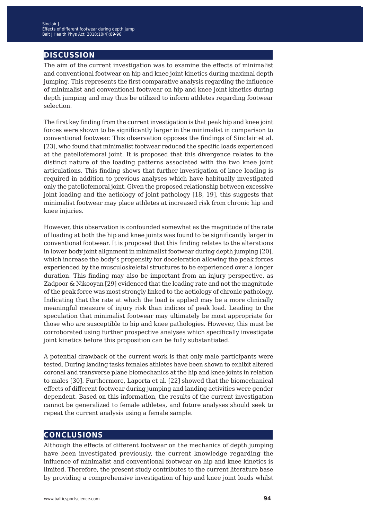## **discussion**

The aim of the current investigation was to examine the effects of minimalist and conventional footwear on hip and knee joint kinetics during maximal depth jumping. This represents the first comparative analysis regarding the influence of minimalist and conventional footwear on hip and knee joint kinetics during depth jumping and may thus be utilized to inform athletes regarding footwear selection.

The first key finding from the current investigation is that peak hip and knee joint forces were shown to be significantly larger in the minimalist in comparison to conventional footwear. This observation opposes the findings of Sinclair et al. [23], who found that minimalist footwear reduced the specific loads experienced at the patellofemoral joint. It is proposed that this divergence relates to the distinct nature of the loading patterns associated with the two knee joint articulations. This finding shows that further investigation of knee loading is required in addition to previous analyses which have habitually investigated only the patellofemoral joint. Given the proposed relationship between excessive joint loading and the aetiology of joint pathology [18, 19], this suggests that minimalist footwear may place athletes at increased risk from chronic hip and knee injuries.

However, this observation is confounded somewhat as the magnitude of the rate of loading at both the hip and knee joints was found to be significantly larger in conventional footwear. It is proposed that this finding relates to the alterations in lower body joint alignment in minimalist footwear during depth jumping [20], which increase the body's propensity for deceleration allowing the peak forces experienced by the musculoskeletal structures to be experienced over a longer duration. This finding may also be important from an injury perspective, as Zadpoor & Nikooyan [29] evidenced that the loading rate and not the magnitude of the peak force was most strongly linked to the aetiology of chronic pathology. Indicating that the rate at which the load is applied may be a more clinically meaningful measure of injury risk than indices of peak load. Leading to the speculation that minimalist footwear may ultimately be most appropriate for those who are susceptible to hip and knee pathologies. However, this must be corroborated using further prospective analyses which specifically investigate joint kinetics before this proposition can be fully substantiated.

A potential drawback of the current work is that only male participants were tested. During landing tasks females athletes have been shown to exhibit altered coronal and transverse plane biomechanics at the hip and knee joints in relation to males [30]. Furthermore, Laporta et al. [22] showed that the biomechanical effects of different footwear during jumping and landing activities were gender dependent. Based on this information, the results of the current investigation cannot be generalized to female athletes, and future analyses should seek to repeat the current analysis using a female sample.

## **conclusions**

Although the effects of different footwear on the mechanics of depth jumping have been investigated previously, the current knowledge regarding the influence of minimalist and conventional footwear on hip and knee kinetics is limited. Therefore, the present study contributes to the current literature base by providing a comprehensive investigation of hip and knee joint loads whilst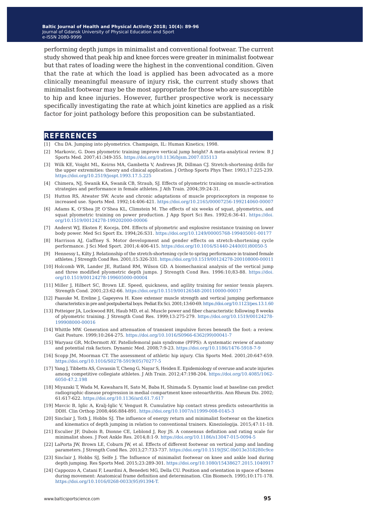Baltic Journal of Health and Physical Activity 2018; 10(4): 89-96 Journal of Gdansk University of Physical Education and Sport Journal of Gdansk University of Physical Education and Sport e-ISSN 2080-9999 e-ISSN 2080-9999

performing depth jumps in minimalist and conventional footwear. The current study showed that peak hip and knee forces were greater in minimalist footwear but that rates of loading were the highest in the conventional condition. Given that the rate at which the load is applied has been advocated as a more clinically meaningful measure of injury risk, the current study shows that minimalist footwear may be the most appropriate for those who are susceptible to hip and knee injuries. However, further prospective work is necessary specifically investigating the rate at which joint kinetics are applied as a risk factor for joint pathology before this proposition can be substantiated.

#### **references**

- [1] Chu DA. Jumping into plyometrics. Champaign, IL: Human Kinetics; 1998.
- [2] Markovic, G. Does plyometric training improve vertical jump height? A meta-analytical review. B J Sports Med. 2007;41:349-355. <https://doi.org/10.1136/bjsm.2007.035113>
- [3] Wilk KE, Voight ML, Keirns MA, Gambetta V, Andrews JR, Dillman CJ. Stretch-shortening drills for the upper extremities: theory and clinical application. J Orthop Sports Phys Ther. 1993;17:225-239. <https://doi.org/10.2519/jospt.1993.17.5.225>
- [4] Chimera, NJ, Swanik KA, Swanik CB, Straub, SJ. Effects of plyometric training on muscle-activation strategies and performance in female athletes. J Ath Train. 2004;39:24-31.
- [5] Hutton RS, Atwater SW. Acute and chronic adaptations of muscle proprioceptors in response to increased use. Sports Med. 1992;14:406-421.<https://doi.org/10.2165/00007256-199214060-00007>
- [6] Adams K, O'Shea JP, O'Shea KL, Climstein M. The effects of six weeks of squat, plyometrics, and squat plyometric training on power production. J App Sport Sci Res. 1992;6:36-41. [https://doi.](https://doi.org/10.1519/00124278-199202000-00006) [org/10.1519/00124278-199202000-00006](https://doi.org/10.1519/00124278-199202000-00006)
- [7] Anderst WJ, Eksten F, Koceja, DM. Effects of plyometric and explosive resistance training on lower body power. Med Sci Sport Ex. 1994;26:S31.<https://doi.org/10.1249/00005768-199405001-00177>
- [8] Harrison AJ, Gaffney S. Motor development and gender effects on stretch-shortening cycle performance. J Sci Med Sport. 2001;4:406-415. [https://doi.org/10.1016/S1440-2440\(01\)80050-5](https://doi.org/10.1016/S1440-2440(01)80050-5)
- [9] Hennessy L, Kilty J. Relationship of the stretch-shortening cycle to spring performance in trained female athletes. J Strength Cond Res. 2001;15:326-331.<https://doi.org/10.1519/00124278-200108000-00011>
- [10] Holcomb WR, Lander JE, Rutland RM, Wilson GD. A biomechanical analysis of the vertical jump and three modified plyometric depth jumps. J Strength Cond Res. 1996:10;83-88. [https://doi.](https://doi.org/10.1519/00124278-199605000-00004) [org/10.1519/00124278-199605000-00004](https://doi.org/10.1519/00124278-199605000-00004)
- [11] Miller J, Hilbert SC, Brown LE. Speed, quickness, and agility training for senior tennis players. Strength Cond. 2001;23:62-66. <https://doi.org/10.1519/00126548-200110000-00017>
- [12] Paasuke M, Ereline J, Gapeyeva H. Knee extensor muscle strength and vertical jumping performance characteristics in pre and postpubertal boys. Pediat Ex Sci. 2001;13:60-69.<https://doi.org/10.1123/pes.13.1.60>
- [13] Potteiger JA, Lockwood RH, Haub MD, et al. Muscle power and fiber characteristic following 8 weeks of plyometric training. J Strength Cond Res. 1999;13:275-279. [https://doi.org/10.1519/00124278-](https://doi.org/10.1519/00124278-199908000-00016) [199908000-00016](https://doi.org/10.1519/00124278-199908000-00016)
- [14] Whittle MW. Generation and attenuation of transient impulsive forces beneath the foot: a review. Gait Posture. 1999;10:264-275. [https://doi.org/10.1016/S0966-6362\(99\)00041-7](https://doi.org/10.1016/S0966-6362(99)00041-7)
- [15] Waryasz GR, McDermott AY. Patellofemoral pain syndrome (PFPS): A systematic review of anatomy and potential risk factors. Dynamic Med. 2008;7:9-23. <https://doi.org/10.1186/1476-5918-7-9>
- [16] Scopp JM, Moorman CT. The assessment of athletic hip injury. Clin Sports Med. 2001;20:647-659. [https://doi.org/10.1016/S0278-5919\(05\)70277-5](https://doi.org/10.1016/S0278-5919(05)70277-5)
- [17] Yang J, Tibbetts AS, Covassin T, Cheng G, Nayar S, Heiden E. Epidemiology of overuse and acute injuries among competitive collegiate athletes. J Ath Train. 2012;47:198-204. [https://doi.org/10.4085/1062-](https://doi.org/10.4085/1062-6050-47.2.198) [6050-47.2.198](https://doi.org/10.4085/1062-6050-47.2.198)
- [18] Miyazaki T, Wada M, Kawahara H, Sato M, Baba H, Shimada S. Dynamic load at baseline can predict radiographic disease progression in medial compartment knee osteoarthritis. Ann Rheum Dis. 2002; 61:617-622. <https://doi.org/10.1136/ard.61.7.617>
- [19] Mavcic B, Iglic A, Kralj-Iglic V, Vengust R. Cumulative hip contact stress predicts osteoarthritis in DDH. Clin Orthop 2008;466:884-891.<https://doi.org/10.1007/s11999-008-0145-3>
- [20] Sinclair J, Toth J, Hobbs SJ. The influence of energy return and minimalist footwear on the kinetics and kinematics of depth jumping in relation to conventional trainers. Kineziologija. 2015;47:11-18.
- [21] Esculier JF, Dubois B, Dionne CE, Leblond J, Roy JS. A consensus definition and rating scale for minimalist shoes. J Foot Ankle Res. 2014;8:1-9.<https://doi.org/10.1186/s13047-015-0094-5>
- [22] LaPorta JW, Brown LE, Coburn JW, et al. Effects of different footwear on vertical jump and landing parameters. J Strength Cond Res. 2013;27:733-737.<https://doi.org/10.1519/JSC.0b013e318280c9ce>
- [23] Sinclair J, Hobbs SJ, Selfe J. The Influence of minimalist footwear on knee and ankle load during depth jumping. Res Sports Med. 2015;23:289-301.<https://doi.org/10.1080/15438627.2015.1040917>
- [24] Cappozzo A, Catani F, Leardini A, Benedeti MG, Della CU. Position and orientation in space of bones during movement: Anatomical frame definition and determination. Clin Biomech. 1995;10:171-178. [https://doi.org/10.1016/0268-0033\(95\)91394-T.](https://doi.org/10.1016/0268-0033(95)91394-T)